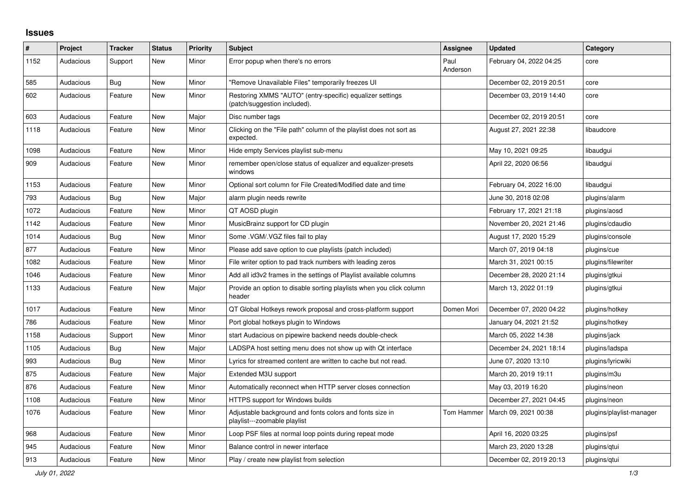## **Issues**

| #    | Project   | <b>Tracker</b> | <b>Status</b> | <b>Priority</b> | <b>Subject</b>                                                                            | <b>Assignee</b>  | <b>Updated</b>          | Category                 |
|------|-----------|----------------|---------------|-----------------|-------------------------------------------------------------------------------------------|------------------|-------------------------|--------------------------|
| 1152 | Audacious | Support        | <b>New</b>    | Minor           | Error popup when there's no errors                                                        | Paul<br>Anderson | February 04, 2022 04:25 | core                     |
| 585  | Audacious | Bug            | <b>New</b>    | Minor           | "Remove Unavailable Files" temporarily freezes UI                                         |                  | December 02, 2019 20:51 | core                     |
| 602  | Audacious | Feature        | <b>New</b>    | Minor           | Restoring XMMS "AUTO" (entry-specific) equalizer settings<br>(patch/suggestion included). |                  | December 03, 2019 14:40 | core                     |
| 603  | Audacious | Feature        | New           | Major           | Disc number tags                                                                          |                  | December 02, 2019 20:51 | core                     |
| 1118 | Audacious | Feature        | <b>New</b>    | Minor           | Clicking on the "File path" column of the playlist does not sort as<br>expected.          |                  | August 27, 2021 22:38   | libaudcore               |
| 1098 | Audacious | Feature        | <b>New</b>    | Minor           | Hide empty Services playlist sub-menu                                                     |                  | May 10, 2021 09:25      | libaudgui                |
| 909  | Audacious | Feature        | <b>New</b>    | Minor           | remember open/close status of equalizer and equalizer-presets<br>windows                  |                  | April 22, 2020 06:56    | libaudgui                |
| 1153 | Audacious | Feature        | <b>New</b>    | Minor           | Optional sort column for File Created/Modified date and time                              |                  | February 04, 2022 16:00 | libaudgui                |
| 793  | Audacious | <b>Bug</b>     | <b>New</b>    | Major           | alarm plugin needs rewrite                                                                |                  | June 30, 2018 02:08     | plugins/alarm            |
| 1072 | Audacious | Feature        | <b>New</b>    | Minor           | QT AOSD plugin                                                                            |                  | February 17, 2021 21:18 | plugins/aosd             |
| 1142 | Audacious | Feature        | <b>New</b>    | Minor           | MusicBrainz support for CD plugin                                                         |                  | November 20, 2021 21:46 | plugins/cdaudio          |
| 1014 | Audacious | Bug            | <b>New</b>    | Minor           | Some .VGM/.VGZ files fail to play                                                         |                  | August 17, 2020 15:29   | plugins/console          |
| 877  | Audacious | Feature        | New           | Minor           | Please add save option to cue playlists (patch included)                                  |                  | March 07, 2019 04:18    | plugins/cue              |
| 1082 | Audacious | Feature        | <b>New</b>    | Minor           | File writer option to pad track numbers with leading zeros                                |                  | March 31, 2021 00:15    | plugins/filewriter       |
| 1046 | Audacious | Feature        | New           | Minor           | Add all id3v2 frames in the settings of Playlist available columns                        |                  | December 28, 2020 21:14 | plugins/gtkui            |
| 1133 | Audacious | Feature        | <b>New</b>    | Major           | Provide an option to disable sorting playlists when you click column<br>header            |                  | March 13, 2022 01:19    | plugins/gtkui            |
| 1017 | Audacious | Feature        | New           | Minor           | QT Global Hotkeys rework proposal and cross-platform support                              | Domen Mori       | December 07, 2020 04:22 | plugins/hotkey           |
| 786  | Audacious | Feature        | <b>New</b>    | Minor           | Port global hotkeys plugin to Windows                                                     |                  | January 04, 2021 21:52  | plugins/hotkey           |
| 1158 | Audacious | Support        | <b>New</b>    | Minor           | start Audacious on pipewire backend needs double-check                                    |                  | March 05, 2022 14:38    | plugins/jack             |
| 1105 | Audacious | Bug            | <b>New</b>    | Major           | LADSPA host setting menu does not show up with Qt interface                               |                  | December 24, 2021 18:14 | plugins/ladspa           |
| 993  | Audacious | Bug            | <b>New</b>    | Minor           | Lyrics for streamed content are written to cache but not read.                            |                  | June 07, 2020 13:10     | plugins/lyricwiki        |
| 875  | Audacious | Feature        | New           | Major           | Extended M3U support                                                                      |                  | March 20, 2019 19:11    | plugins/m3u              |
| 876  | Audacious | Feature        | <b>New</b>    | Minor           | Automatically reconnect when HTTP server closes connection                                |                  | May 03, 2019 16:20      | plugins/neon             |
| 1108 | Audacious | Feature        | <b>New</b>    | Minor           | <b>HTTPS support for Windows builds</b>                                                   |                  | December 27, 2021 04:45 | plugins/neon             |
| 1076 | Audacious | Feature        | <b>New</b>    | Minor           | Adjustable background and fonts colors and fonts size in<br>playlist---zoomable playlist  | Tom Hammer       | March 09, 2021 00:38    | plugins/playlist-manager |
| 968  | Audacious | Feature        | New           | Minor           | Loop PSF files at normal loop points during repeat mode                                   |                  | April 16, 2020 03:25    | plugins/psf              |
| 945  | Audacious | Feature        | <b>New</b>    | Minor           | Balance control in newer interface                                                        |                  | March 23, 2020 13:28    | plugins/gtui             |
| 913  | Audacious | Feature        | <b>New</b>    | Minor           | Play / create new playlist from selection                                                 |                  | December 02, 2019 20:13 | plugins/qtui             |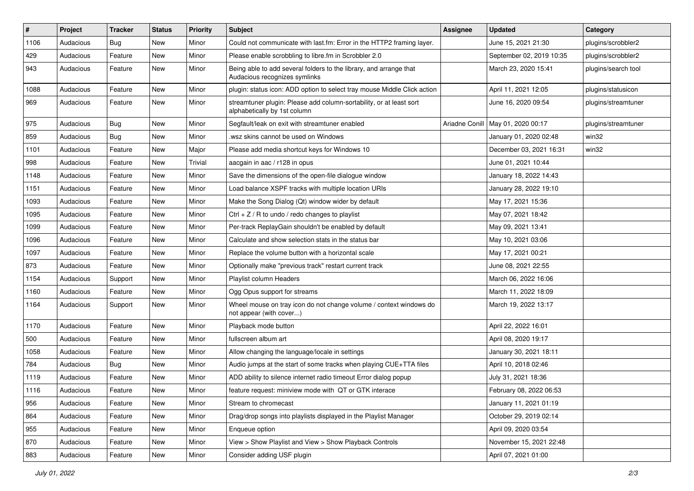| #    | Project   | <b>Tracker</b> | <b>Status</b> | <b>Priority</b> | <b>Subject</b>                                                                                      | Assignee       | <b>Updated</b>           | Category            |
|------|-----------|----------------|---------------|-----------------|-----------------------------------------------------------------------------------------------------|----------------|--------------------------|---------------------|
| 1106 | Audacious | <b>Bug</b>     | <b>New</b>    | Minor           | Could not communicate with last.fm: Error in the HTTP2 framing layer.                               |                | June 15, 2021 21:30      | plugins/scrobbler2  |
| 429  | Audacious | Feature        | New           | Minor           | Please enable scrobbling to libre.fm in Scrobbler 2.0                                               |                | September 02, 2019 10:35 | plugins/scrobbler2  |
| 943  | Audacious | Feature        | New           | Minor           | Being able to add several folders to the library, and arrange that<br>Audacious recognizes symlinks |                | March 23, 2020 15:41     | plugins/search tool |
| 1088 | Audacious | Feature        | <b>New</b>    | Minor           | plugin: status icon: ADD option to select tray mouse Middle Click action                            |                | April 11, 2021 12:05     | plugins/statusicon  |
| 969  | Audacious | Feature        | New           | Minor           | streamtuner plugin: Please add column-sortability, or at least sort<br>alphabetically by 1st column |                | June 16, 2020 09:54      | plugins/streamtuner |
| 975  | Audacious | Bug            | New           | Minor           | Segfault/leak on exit with streamtuner enabled                                                      | Ariadne Conill | May 01, 2020 00:17       | plugins/streamtuner |
| 859  | Audacious | <b>Bug</b>     | <b>New</b>    | Minor           | wsz skins cannot be used on Windows                                                                 |                | January 01, 2020 02:48   | win32               |
| 1101 | Audacious | Feature        | <b>New</b>    | Major           | Please add media shortcut keys for Windows 10                                                       |                | December 03, 2021 16:31  | win32               |
| 998  | Audacious | Feature        | New           | Trivial         | aacgain in aac / r128 in opus                                                                       |                | June 01, 2021 10:44      |                     |
| 1148 | Audacious | Feature        | New           | Minor           | Save the dimensions of the open-file dialogue window                                                |                | January 18, 2022 14:43   |                     |
| 1151 | Audacious | Feature        | New           | Minor           | Load balance XSPF tracks with multiple location URIs                                                |                | January 28, 2022 19:10   |                     |
| 1093 | Audacious | Feature        | New           | Minor           | Make the Song Dialog (Qt) window wider by default                                                   |                | May 17, 2021 15:36       |                     |
| 1095 | Audacious | Feature        | <b>New</b>    | Minor           | Ctrl + $Z$ / R to undo / redo changes to playlist                                                   |                | May 07, 2021 18:42       |                     |
| 1099 | Audacious | Feature        | <b>New</b>    | Minor           | Per-track ReplayGain shouldn't be enabled by default                                                |                | May 09, 2021 13:41       |                     |
| 1096 | Audacious | Feature        | New           | Minor           | Calculate and show selection stats in the status bar                                                |                | May 10, 2021 03:06       |                     |
| 1097 | Audacious | Feature        | <b>New</b>    | Minor           | Replace the volume button with a horizontal scale                                                   |                | May 17, 2021 00:21       |                     |
| 873  | Audacious | Feature        | New           | Minor           | Optionally make "previous track" restart current track                                              |                | June 08, 2021 22:55      |                     |
| 1154 | Audacious | Support        | <b>New</b>    | Minor           | Playlist column Headers                                                                             |                | March 06, 2022 16:06     |                     |
| 1160 | Audacious | Feature        | New           | Minor           | Ogg Opus support for streams                                                                        |                | March 11, 2022 18:09     |                     |
| 1164 | Audacious | Support        | New           | Minor           | Wheel mouse on tray icon do not change volume / context windows do<br>not appear (with cover)       |                | March 19, 2022 13:17     |                     |
| 1170 | Audacious | Feature        | <b>New</b>    | Minor           | Playback mode button                                                                                |                | April 22, 2022 16:01     |                     |
| 500  | Audacious | Feature        | New           | Minor           | fullscreen album art                                                                                |                | April 08, 2020 19:17     |                     |
| 1058 | Audacious | Feature        | New           | Minor           | Allow changing the language/locale in settings                                                      |                | January 30, 2021 18:11   |                     |
| 784  | Audacious | Bug            | New           | Minor           | Audio jumps at the start of some tracks when playing CUE+TTA files                                  |                | April 10, 2018 02:46     |                     |
| 1119 | Audacious | Feature        | New           | Minor           | ADD ability to silence internet radio timeout Error dialog popup                                    |                | July 31, 2021 18:36      |                     |
| 1116 | Audacious | Feature        | New           | Minor           | feature request: miniview mode with QT or GTK interace                                              |                | February 08, 2022 06:53  |                     |
| 956  | Audacious | Feature        | New           | Minor           | Stream to chromecast                                                                                |                | January 11, 2021 01:19   |                     |
| 864  | Audacious | Feature        | New           | Minor           | Drag/drop songs into playlists displayed in the Playlist Manager                                    |                | October 29, 2019 02:14   |                     |
| 955  | Audacious | Feature        | New           | Minor           | Enqueue option                                                                                      |                | April 09, 2020 03:54     |                     |
| 870  | Audacious | Feature        | New           | Minor           | View > Show Playlist and View > Show Playback Controls                                              |                | November 15, 2021 22:48  |                     |
| 883  | Audacious | Feature        | New           | Minor           | Consider adding USF plugin                                                                          |                | April 07, 2021 01:00     |                     |